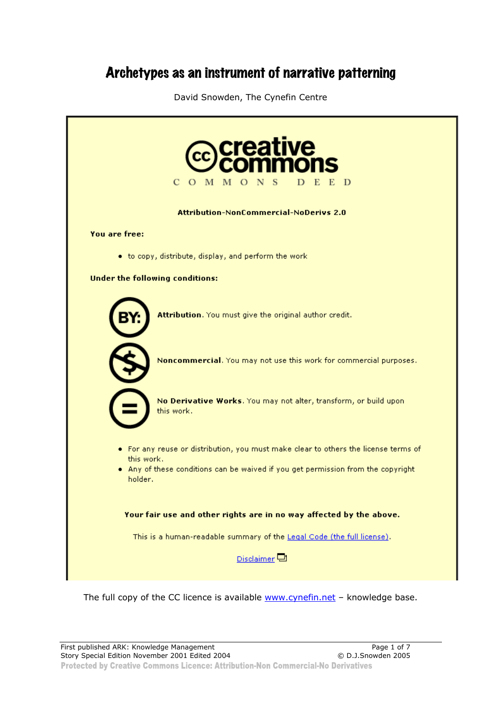# Archetypes as an instrument of narrative patterning

David Snowden, The Cynefin Centre

| <b>creative</b><br>$\mathbf C$<br>O M M O N<br>E<br>- D<br>D                                      |
|---------------------------------------------------------------------------------------------------|
| <b>Attribution-NonCommercial-NoDerivs 2.0</b>                                                     |
| You are free:                                                                                     |
| . to copy, distribute, display, and perform the work                                              |
| <b>Under the following conditions:</b>                                                            |
| Attribution. You must give the original author credit.                                            |
| Noncommercial. You may not use this work for commercial purposes.                                 |
| No Derivative Works. You may not alter, transform, or build upon<br>this work.                    |
| . For any reuse or distribution, you must make clear to others the license terms of<br>this work. |
| . Any of these conditions can be waived if you get permission from the copyright<br>holder.       |
| Your fair use and other rights are in no way affected by the above.                               |
| This is a human-readable summary of the Legal Code (the full license).                            |
| Disclaimer <sup><math>\Box</math></sup>                                                           |
|                                                                                                   |

The full copy of the CC licence is available www.cynefin.net - knowledge base.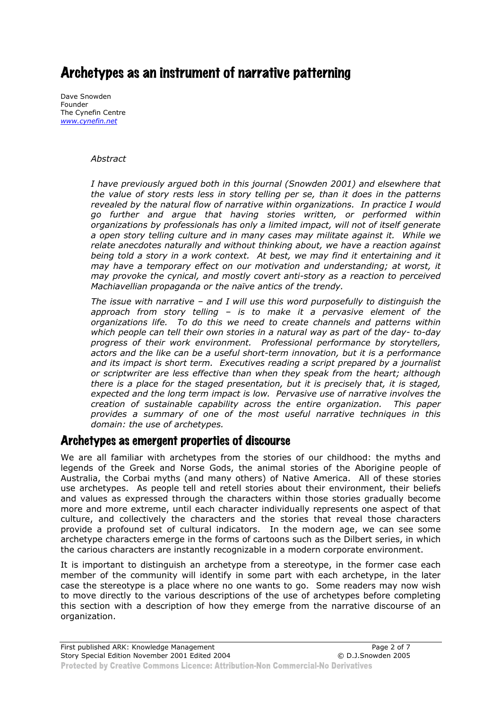## Archetypes as an instrument of narrative patterning

Dave Snowden Founder The Cynefin Centre *www.cynefin.net*

#### *Abstract*

*I have previously argued both in this journal (Snowden 2001) and elsewhere that the value of story rests less in story telling per se, than it does in the patterns revealed by the natural flow of narrative within organizations. In practice I would go further and argue that having stories written, or performed within organizations by professionals has only a limited impact, will not of itself generate a open story telling culture and in many cases may militate against it. While we relate anecdotes naturally and without thinking about, we have a reaction against being told a story in a work context. At best, we may find it entertaining and it may have a temporary effect on our motivation and understanding; at worst, it may provoke the cynical, and mostly covert anti-story as a reaction to perceived Machiavellian propaganda or the naïve antics of the trendy.* 

*The issue with narrative – and I will use this word purposefully to distinguish the approach from story telling – is to make it a pervasive element of the organizations life. To do this we need to create channels and patterns within which people can tell their own stories in a natural way as part of the day- to-day progress of their work environment. Professional performance by storytellers, actors and the like can be a useful short-term innovation, but it is a performance and its impact is short term. Executives reading a script prepared by a journalist or scriptwriter are less effective than when they speak from the heart; although there is a place for the staged presentation, but it is precisely that, it is staged, expected and the long term impact is low. Pervasive use of narrative involves the creation of sustainable capability across the entire organization. This paper provides a summary of one of the most useful narrative techniques in this domain: the use of archetypes.* 

## Archetypes as emergent properties of discourse

We are all familiar with archetypes from the stories of our childhood: the myths and legends of the Greek and Norse Gods, the animal stories of the Aborigine people of Australia, the Corbai myths (and many others) of Native America. All of these stories use archetypes. As people tell and retell stories about their environment, their beliefs and values as expressed through the characters within those stories gradually become more and more extreme, until each character individually represents one aspect of that culture, and collectively the characters and the stories that reveal those characters provide a profound set of cultural indicators. In the modern age, we can see some archetype characters emerge in the forms of cartoons such as the Dilbert series, in which the carious characters are instantly recognizable in a modern corporate environment.

It is important to distinguish an archetype from a stereotype, in the former case each member of the community will identify in some part with each archetype, in the later case the stereotype is a place where no one wants to go. Some readers may now wish to move directly to the various descriptions of the use of archetypes before completing this section with a description of how they emerge from the narrative discourse of an organization.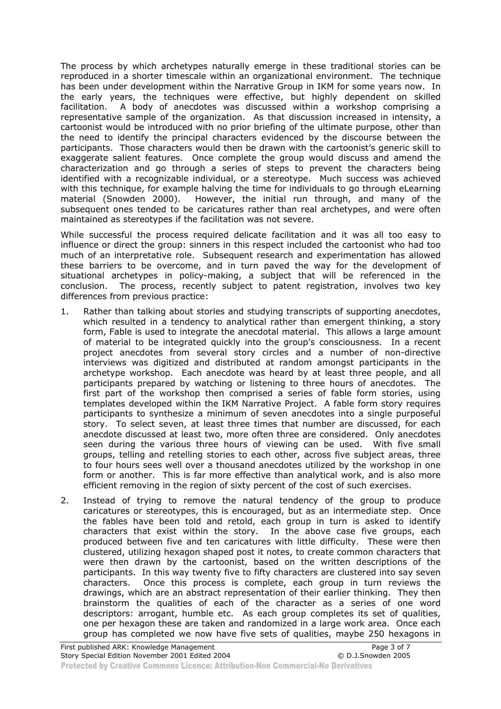The process by which archetypes naturally emerge in these traditional stories can be reproduced in a shorter timescale within an organizational environment. The technique has been under development within the Narrative Group in IKM for some years now. In the early years, the techniques were effective, but highly dependent on skilled facilitation. A body of anecdotes was discussed within a workshop comprising a representative sample of the organization. As that discussion increased in intensity, a cartoonist would be introduced with no prior briefing of the ultimate purpose, other than the need to identify the principal characters evidenced by the discourse between the participants. Those characters would then be drawn with the cartoonist's generic skill to exaggerate salient features. Once complete the group would discuss and amend the characterization and go through a series of steps to prevent the characters being identified with a recognizable individual, or a stereotype. Much success was achieved with this technique, for example halving the time for individuals to go through eLearning material (Snowden 2000). However, the initial run through, and many of the subsequent ones tended to be caricatures rather than real archetypes, and were often maintained as stereotypes if the facilitation was not severe.

While successful the process required delicate facilitation and it was all too easy to influence or direct the group: sinners in this respect included the cartoonist who had too much of an interpretative role. Subsequent research and experimentation has allowed these barriers to be overcome, and in turn paved the way for the development of situational archetypes in policy-making, a subject that will be referenced in the conclusion. The process, recently subject to patent registration, involves two key differences from previous practice:

- 1. Rather than talking about stories and studying transcripts of supporting anecdotes, which resulted in a tendency to analytical rather than emergent thinking, a story form, Fable is used to integrate the anecdotal material. This allows a large amount of material to be integrated quickly into the group's consciousness. In a recent project anecdotes from several story circles and a number of non-directive interviews was digitized and distributed at random amongst participants in the archetype workshop. Each anecdote was heard by at least three people, and all participants prepared by watching or listening to three hours of anecdotes. The first part of the workshop then comprised a series of fable form stories, using templates developed within the IKM Narrative Project. A fable form story requires participants to synthesize a minimum of seven anecdotes into a single purposeful story. To select seven, at least three times that number are discussed, for each anecdote discussed at least two, more often three are considered. Only anecdotes seen during the various three hours of viewing can be used. With five small groups, telling and retelling stories to each other, across five subject areas, three to four hours sees well over a thousand anecdotes utilized by the workshop in one form or another. This is far more effective than analytical work, and is also more efficient removing in the region of sixty percent of the cost of such exercises.
- 2. Instead of trying to remove the natural tendency of the group to produce caricatures or stereotypes, this is encouraged, but as an intermediate step. Once the fables have been told and retold, each group in turn is asked to identify characters that exist within the story. In the above case five groups, each produced between five and ten caricatures with little difficulty. These were then clustered, utilizing hexagon shaped post it notes, to create common characters that were then drawn by the cartoonist, based on the written descriptions of the participants. In this way twenty five to fifty characters are clustered into say seven characters. Once this process is complete, each group in turn reviews the drawings, which are an abstract representation of their earlier thinking. They then brainstorm the qualities of each of the character as a series of one word descriptors: arrogant, humble etc. As each group completes its set of qualities, one per hexagon these are taken and randomized in a large work area. Once each group has completed we now have five sets of qualities, maybe 250 hexagons in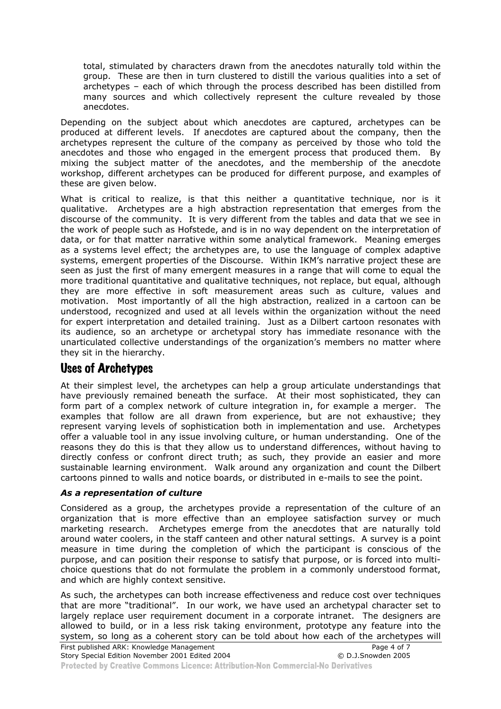total, stimulated by characters drawn from the anecdotes naturally told within the group. These are then in turn clustered to distill the various qualities into a set of archetypes – each of which through the process described has been distilled from many sources and which collectively represent the culture revealed by those anecdotes.

Depending on the subject about which anecdotes are captured, archetypes can be produced at different levels. If anecdotes are captured about the company, then the archetypes represent the culture of the company as perceived by those who told the anecdotes and those who engaged in the emergent process that produced them. By mixing the subject matter of the anecdotes, and the membership of the anecdote workshop, different archetypes can be produced for different purpose, and examples of these are given below.

What is critical to realize, is that this neither a quantitative technique, nor is it qualitative. Archetypes are a high abstraction representation that emerges from the discourse of the community. It is very different from the tables and data that we see in the work of people such as Hofstede, and is in no way dependent on the interpretation of data, or for that matter narrative within some analytical framework. Meaning emerges as a systems level effect; the archetypes are, to use the language of complex adaptive systems, emergent properties of the Discourse. Within IKM's narrative project these are seen as just the first of many emergent measures in a range that will come to equal the more traditional quantitative and qualitative techniques, not replace, but equal, although they are more effective in soft measurement areas such as culture, values and motivation. Most importantly of all the high abstraction, realized in a cartoon can be understood, recognized and used at all levels within the organization without the need for expert interpretation and detailed training. Just as a Dilbert cartoon resonates with its audience, so an archetype or archetypal story has immediate resonance with the unarticulated collective understandings of the organization's members no matter where they sit in the hierarchy.

## Uses of Archetypes

At their simplest level, the archetypes can help a group articulate understandings that have previously remained beneath the surface. At their most sophisticated, they can form part of a complex network of culture integration in, for example a merger. The examples that follow are all drawn from experience, but are not exhaustive; they represent varying levels of sophistication both in implementation and use. Archetypes offer a valuable tool in any issue involving culture, or human understanding. One of the reasons they do this is that they allow us to understand differences, without having to directly confess or confront direct truth; as such, they provide an easier and more sustainable learning environment. Walk around any organization and count the Dilbert cartoons pinned to walls and notice boards, or distributed in e-mails to see the point.

#### *As a representation of culture*

Considered as a group, the archetypes provide a representation of the culture of an organization that is more effective than an employee satisfaction survey or much marketing research. Archetypes emerge from the anecdotes that are naturally told around water coolers, in the staff canteen and other natural settings. A survey is a point measure in time during the completion of which the participant is conscious of the purpose, and can position their response to satisfy that purpose, or is forced into multichoice questions that do not formulate the problem in a commonly understood format, and which are highly context sensitive.

As such, the archetypes can both increase effectiveness and reduce cost over techniques that are more "traditional". In our work, we have used an archetypal character set to largely replace user requirement document in a corporate intranet. The designers are allowed to build, or in a less risk taking environment, prototype any feature into the system, so long as a coherent story can be told about how each of the archetypes will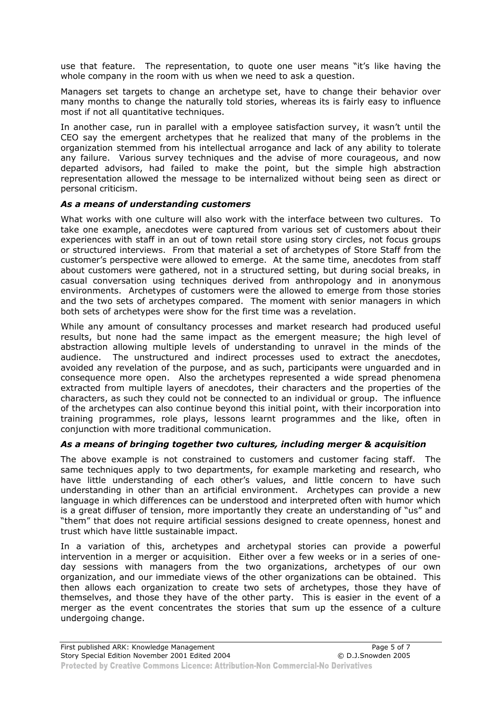use that feature. The representation, to quote one user means "it's like having the whole company in the room with us when we need to ask a question.

Managers set targets to change an archetype set, have to change their behavior over many months to change the naturally told stories, whereas its is fairly easy to influence most if not all quantitative techniques.

In another case, run in parallel with a employee satisfaction survey, it wasn't until the CEO say the emergent archetypes that he realized that many of the problems in the organization stemmed from his intellectual arrogance and lack of any ability to tolerate any failure. Various survey techniques and the advise of more courageous, and now departed advisors, had failed to make the point, but the simple high abstraction representation allowed the message to be internalized without being seen as direct or personal criticism.

#### *As a means of understanding customers*

What works with one culture will also work with the interface between two cultures. To take one example, anecdotes were captured from various set of customers about their experiences with staff in an out of town retail store using story circles, not focus groups or structured interviews. From that material a set of archetypes of Store Staff from the customer's perspective were allowed to emerge. At the same time, anecdotes from staff about customers were gathered, not in a structured setting, but during social breaks, in casual conversation using techniques derived from anthropology and in anonymous environments. Archetypes of customers were the allowed to emerge from those stories and the two sets of archetypes compared. The moment with senior managers in which both sets of archetypes were show for the first time was a revelation.

While any amount of consultancy processes and market research had produced useful results, but none had the same impact as the emergent measure; the high level of abstraction allowing multiple levels of understanding to unravel in the minds of the audience. The unstructured and indirect processes used to extract the anecdotes, avoided any revelation of the purpose, and as such, participants were unguarded and in consequence more open. Also the archetypes represented a wide spread phenomena extracted from multiple layers of anecdotes, their characters and the properties of the characters, as such they could not be connected to an individual or group. The influence of the archetypes can also continue beyond this initial point, with their incorporation into training programmes, role plays, lessons learnt programmes and the like, often in conjunction with more traditional communication.

#### *As a means of bringing together two cultures, including merger & acquisition*

The above example is not constrained to customers and customer facing staff. The same techniques apply to two departments, for example marketing and research, who have little understanding of each other's values, and little concern to have such understanding in other than an artificial environment. Archetypes can provide a new language in which differences can be understood and interpreted often with humor which is a great diffuser of tension, more importantly they create an understanding of "us" and "them" that does not require artificial sessions designed to create openness, honest and trust which have little sustainable impact.

In a variation of this, archetypes and archetypal stories can provide a powerful intervention in a merger or acquisition. Either over a few weeks or in a series of oneday sessions with managers from the two organizations, archetypes of our own organization, and our immediate views of the other organizations can be obtained. This then allows each organization to create two sets of archetypes, those they have of themselves, and those they have of the other party. This is easier in the event of a merger as the event concentrates the stories that sum up the essence of a culture undergoing change.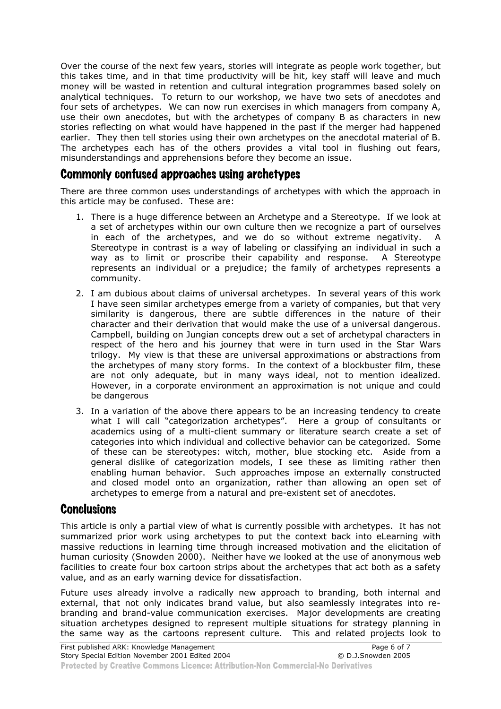Over the course of the next few years, stories will integrate as people work together, but this takes time, and in that time productivity will be hit, key staff will leave and much money will be wasted in retention and cultural integration programmes based solely on analytical techniques. To return to our workshop, we have two sets of anecdotes and four sets of archetypes. We can now run exercises in which managers from company A, use their own anecdotes, but with the archetypes of company B as characters in new stories reflecting on what would have happened in the past if the merger had happened earlier. They then tell stories using their own archetypes on the anecdotal material of B. The archetypes each has of the others provides a vital tool in flushing out fears, misunderstandings and apprehensions before they become an issue.

## Commonly confused approaches using archetypes

There are three common uses understandings of archetypes with which the approach in this article may be confused. These are:

- 1. There is a huge difference between an Archetype and a Stereotype. If we look at a set of archetypes within our own culture then we recognize a part of ourselves in each of the archetypes, and we do so without extreme negativity. A Stereotype in contrast is a way of labeling or classifying an individual in such a way as to limit or proscribe their capability and response. A Stereotype represents an individual or a prejudice; the family of archetypes represents a community.
- 2. I am dubious about claims of universal archetypes. In several years of this work I have seen similar archetypes emerge from a variety of companies, but that very similarity is dangerous, there are subtle differences in the nature of their character and their derivation that would make the use of a universal dangerous. Campbell, building on Jungian concepts drew out a set of archetypal characters in respect of the hero and his journey that were in turn used in the Star Wars trilogy. My view is that these are universal approximations or abstractions from the archetypes of many story forms. In the context of a blockbuster film, these are not only adequate, but in many ways ideal, not to mention idealized. However, in a corporate environment an approximation is not unique and could be dangerous
- 3. In a variation of the above there appears to be an increasing tendency to create what I will call "categorization archetypes". Here a group of consultants or academics using of a multi-client summary or literature search create a set of categories into which individual and collective behavior can be categorized. Some of these can be stereotypes: witch, mother, blue stocking etc. Aside from a general dislike of categorization models, I see these as limiting rather then enabling human behavior. Such approaches impose an externally constructed and closed model onto an organization, rather than allowing an open set of archetypes to emerge from a natural and pre-existent set of anecdotes.

### **Conclusions**

This article is only a partial view of what is currently possible with archetypes. It has not summarized prior work using archetypes to put the context back into eLearning with massive reductions in learning time through increased motivation and the elicitation of human curiosity (Snowden 2000). Neither have we looked at the use of anonymous web facilities to create four box cartoon strips about the archetypes that act both as a safety value, and as an early warning device for dissatisfaction.

Future uses already involve a radically new approach to branding, both internal and external, that not only indicates brand value, but also seamlessly integrates into rebranding and brand-value communication exercises. Major developments are creating situation archetypes designed to represent multiple situations for strategy planning in the same way as the cartoons represent culture. This and related projects look to